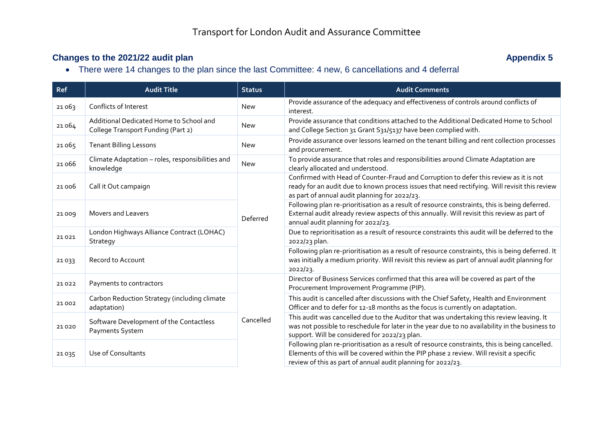## **Changes to the 2021/22 audit plan Appendix 5**

There were 14 changes to the plan since the last Committee: 4 new, 6 cancellations and 4 deferral

| Ref    | <b>Audit Title</b>                                                            | <b>Status</b> | <b>Audit Comments</b>                                                                                                                                                                                                                                     |
|--------|-------------------------------------------------------------------------------|---------------|-----------------------------------------------------------------------------------------------------------------------------------------------------------------------------------------------------------------------------------------------------------|
| 21063  | Conflicts of Interest                                                         | <b>New</b>    | Provide assurance of the adequacy and effectiveness of controls around conflicts of<br>interest.                                                                                                                                                          |
| 21 064 | Additional Dedicated Home to School and<br>College Transport Funding (Part 2) | <b>New</b>    | Provide assurance that conditions attached to the Additional Dedicated Home to School<br>and College Section 31 Grant S31/5137 have been complied with.                                                                                                   |
| 21 065 | <b>Tenant Billing Lessons</b>                                                 | New           | Provide assurance over lessons learned on the tenant billing and rent collection processes<br>and procurement.                                                                                                                                            |
| 21066  | Climate Adaptation - roles, responsibilities and<br>knowledge                 | New           | To provide assurance that roles and responsibilities around Climate Adaptation are<br>clearly allocated and understood.                                                                                                                                   |
| 21 006 | Call it Out campaign                                                          | Deferred      | Confirmed with Head of Counter-Fraud and Corruption to defer this review as it is not<br>ready for an audit due to known process issues that need rectifying. Will revisit this review<br>as part of annual audit planning for 2022/23.                   |
| 21009  | Movers and Leavers                                                            |               | Following plan re-prioritisation as a result of resource constraints, this is being deferred.<br>External audit already review aspects of this annually. Will revisit this review as part of<br>annual audit planning for 2022/23.                        |
| 21021  | London Highways Alliance Contract (LOHAC)<br>Strategy                         |               | Due to reprioritisation as a result of resource constraints this audit will be deferred to the<br>2022/23 plan.                                                                                                                                           |
| 21033  | Record to Account                                                             |               | Following plan re-prioritisation as a result of resource constraints, this is being deferred. It<br>was initially a medium priority. Will revisit this review as part of annual audit planning for<br>2022/23.                                            |
| 21022  | Payments to contractors                                                       | Cancelled     | Director of Business Services confirmed that this area will be covered as part of the<br>Procurement Improvement Programme (PIP).                                                                                                                         |
| 21 002 | Carbon Reduction Strategy (including climate<br>adaptation)                   |               | This audit is cancelled after discussions with the Chief Safety, Health and Environment<br>Officer and to defer for 12-18 months as the focus is currently on adaptation.                                                                                 |
| 21020  | Software Development of the Contactless<br>Payments System                    |               | This audit was cancelled due to the Auditor that was undertaking this review leaving. It<br>was not possible to reschedule for later in the year due to no availability in the business to<br>support. Will be considered for 2022/23 plan.               |
| 21035  | Use of Consultants                                                            |               | Following plan re-prioritisation as a result of resource constraints, this is being cancelled.<br>Elements of this will be covered within the PIP phase 2 review. Will revisit a specific<br>review of this as part of annual audit planning for 2022/23. |